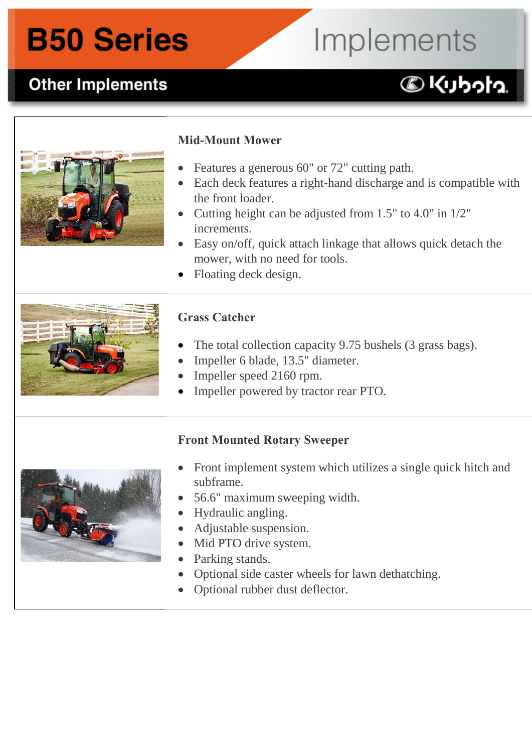### **B50 Series**

## Implements

**DKUbota** 

### **Other Implements B50 Other Implements:**



#### **Mid-Mount Mower**

- Features a generous 60" or 72" cutting path.
- Each deck features a right-hand discharge and is compatible with the front loader.
- Cutting height can be adjusted from 1.5" to 4.0" in 1/2" increments.
- Easy on/off, quick attach linkage that allows quick detach the mower, with no need for tools.
- Floating deck design.



### **Grass Catcher**

- The total collection capacity 9.75 bushels (3 grass bags).
- Impeller 6 blade, 13.5" diameter.
- Impeller speed 2160 rpm.
- Impeller powered by tractor rear PTO.

#### **Front Mounted Rotary Sweeper**

- Front implement system which utilizes a single quick hitch and subframe.
- 56.6" maximum sweeping width.
- Hydraulic angling.
- Adjustable suspension.
- Mid PTO drive system.
- Parking stands.
- Optional side caster wheels for lawn dethatching.
- Optional rubber dust deflector.